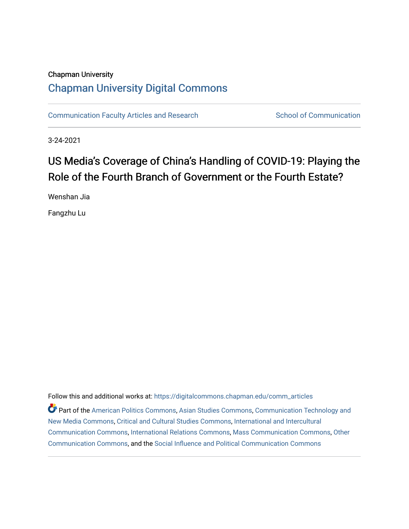# Chapman University [Chapman University Digital Commons](https://digitalcommons.chapman.edu/)

[Communication Faculty Articles and Research](https://digitalcommons.chapman.edu/comm_articles) School of Communication

3-24-2021

# US Media's Coverage of China's Handling of COVID-19: Playing the Role of the Fourth Branch of Government or the Fourth Estate?

Wenshan Jia

Fangzhu Lu

Follow this and additional works at: [https://digitalcommons.chapman.edu/comm\\_articles](https://digitalcommons.chapman.edu/comm_articles?utm_source=digitalcommons.chapman.edu%2Fcomm_articles%2F75&utm_medium=PDF&utm_campaign=PDFCoverPages) 

Part of the [American Politics Commons,](http://network.bepress.com/hgg/discipline/387?utm_source=digitalcommons.chapman.edu%2Fcomm_articles%2F75&utm_medium=PDF&utm_campaign=PDFCoverPages) [Asian Studies Commons,](http://network.bepress.com/hgg/discipline/361?utm_source=digitalcommons.chapman.edu%2Fcomm_articles%2F75&utm_medium=PDF&utm_campaign=PDFCoverPages) [Communication Technology and](http://network.bepress.com/hgg/discipline/327?utm_source=digitalcommons.chapman.edu%2Fcomm_articles%2F75&utm_medium=PDF&utm_campaign=PDFCoverPages)  [New Media Commons,](http://network.bepress.com/hgg/discipline/327?utm_source=digitalcommons.chapman.edu%2Fcomm_articles%2F75&utm_medium=PDF&utm_campaign=PDFCoverPages) [Critical and Cultural Studies Commons](http://network.bepress.com/hgg/discipline/328?utm_source=digitalcommons.chapman.edu%2Fcomm_articles%2F75&utm_medium=PDF&utm_campaign=PDFCoverPages), [International and Intercultural](http://network.bepress.com/hgg/discipline/331?utm_source=digitalcommons.chapman.edu%2Fcomm_articles%2F75&utm_medium=PDF&utm_campaign=PDFCoverPages) [Communication Commons](http://network.bepress.com/hgg/discipline/331?utm_source=digitalcommons.chapman.edu%2Fcomm_articles%2F75&utm_medium=PDF&utm_campaign=PDFCoverPages), [International Relations Commons](http://network.bepress.com/hgg/discipline/389?utm_source=digitalcommons.chapman.edu%2Fcomm_articles%2F75&utm_medium=PDF&utm_campaign=PDFCoverPages), [Mass Communication Commons,](http://network.bepress.com/hgg/discipline/334?utm_source=digitalcommons.chapman.edu%2Fcomm_articles%2F75&utm_medium=PDF&utm_campaign=PDFCoverPages) [Other](http://network.bepress.com/hgg/discipline/339?utm_source=digitalcommons.chapman.edu%2Fcomm_articles%2F75&utm_medium=PDF&utm_campaign=PDFCoverPages)  [Communication Commons](http://network.bepress.com/hgg/discipline/339?utm_source=digitalcommons.chapman.edu%2Fcomm_articles%2F75&utm_medium=PDF&utm_campaign=PDFCoverPages), and the [Social Influence and Political Communication Commons](http://network.bepress.com/hgg/discipline/337?utm_source=digitalcommons.chapman.edu%2Fcomm_articles%2F75&utm_medium=PDF&utm_campaign=PDFCoverPages)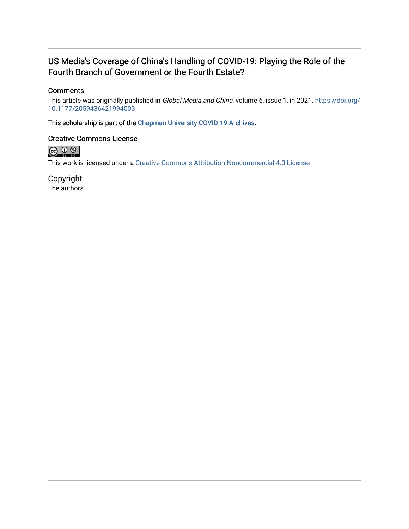## US Media's Coverage of China's Handling of COVID-19: Playing the Role of the Fourth Branch of Government or the Fourth Estate?

## **Comments**

This article was originally published in Global Media and China, volume 6, issue 1, in 2021. [https://doi.org/](https://doi.org/10.1177/2059436421994003) [10.1177/2059436421994003](https://doi.org/10.1177/2059436421994003)

This scholarship is part of the [Chapman University COVID-19 Archives](https://digitalcommons.chapman.edu/covid-19_archives/).

## Creative Commons License



This work is licensed under a [Creative Commons Attribution-Noncommercial 4.0 License](https://creativecommons.org/licenses/by-nc/4.0/) 

Copyright The authors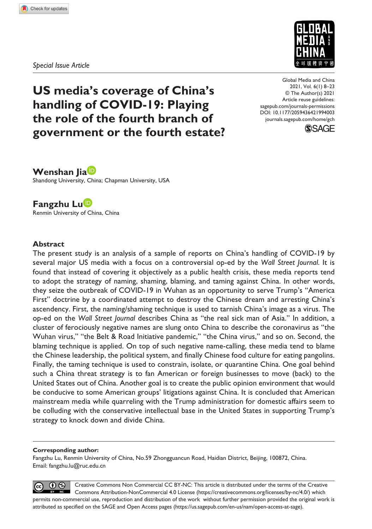*Special Issue Article*



**US media's coverage of China's handling of COVID-19: Playing the role of the fourth branch of government or the fourth estate?** DOI: 10.1177/2059436421994003 Global Media and China 2021, Vol. 6(1) 8–23 © The Author(s) 2021 Article reuse guidelines: [sagepub.com/journals-permissions](https://uk.sagepub.com/en-gb/journals-permissions) [journals.sagepub.com/home/gch](https://journals.sagepub.com/home/gch)



**Wenshan Jia** Shandong University, China; Chapman University, USA

**Fangzhu Lu** Renmin University of China, China

#### **Abstract**

The present study is an analysis of a sample of reports on China's handling of COVID-19 by several major US media with a focus on a controversial op-ed by the *Wall Street Journal*. It is found that instead of covering it objectively as a public health crisis, these media reports tend to adopt the strategy of naming, shaming, blaming, and taming against China. In other words, they seize the outbreak of COVID-19 in Wuhan as an opportunity to serve Trump's "America First" doctrine by a coordinated attempt to destroy the Chinese dream and arresting China's ascendency. First, the naming/shaming technique is used to tarnish China's image as a virus. The op-ed on the *Wall Street Journal* describes China as "the real sick man of Asia." In addition, a cluster of ferociously negative names are slung onto China to describe the coronavirus as "the Wuhan virus," "the Belt & Road Initiative pandemic," "the China virus," and so on. Second, the blaming technique is applied. On top of such negative name-calling, these media tend to blame the Chinese leadership, the political system, and finally Chinese food culture for eating pangolins. Finally, the taming technique is used to constrain, isolate, or quarantine China. One goal behind such a China threat strategy is to fan American or foreign businesses to move (back) to the United States out of China. Another goal is to create the public opinion environment that would be conducive to some American groups' litigations against China. It is concluded that American mainstream media while quarreling with the Trump administration for domestic affairs seem to be colluding with the conservative intellectual base in the United States in supporting Trump's strategy to knock down and divide China.

#### **Corresponding author:**

Fangzhu Lu, Renmin University of China, No.59 Zhongguancun Road, Haidian District, Beijing, 100872, China. Email: fangzhu.lu@ruc.edu.cn

 $\circledR$ Creative Commons Non Commercial CC BY-NC: This article is distributed under the terms of the Creative  $(cc)$ Commons Attribution-NonCommercial 4.0 License (https://creativecommons.org/licenses/by-nc/4.0/) which permits non-commercial use, reproduction and distribution of the work without further permission provided the original work is attributed as specified on the SAGE and Open Access pages (https://us.sagepub.com/en-us/nam/open-access-at-sage).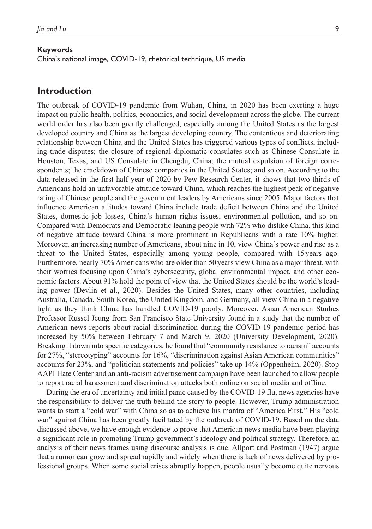#### **Keywords**

China's national image, COVID-19, rhetorical technique, US media

#### **Introduction**

The outbreak of COVID-19 pandemic from Wuhan, China, in 2020 has been exerting a huge impact on public health, politics, economics, and social development across the globe. The current world order has also been greatly challenged, especially among the United States as the largest developed country and China as the largest developing country. The contentious and deteriorating relationship between China and the United States has triggered various types of conflicts, including trade disputes; the closure of regional diplomatic consulates such as Chinese Consulate in Houston, Texas, and US Consulate in Chengdu, China; the mutual expulsion of foreign correspondents; the crackdown of Chinese companies in the United States; and so on. According to the data released in the first half year of 2020 by Pew Research Center, it shows that two thirds of Americans hold an unfavorable attitude toward China, which reaches the highest peak of negative rating of Chinese people and the government leaders by Americans since 2005. Major factors that influence American attitudes toward China include trade deficit between China and the United States, domestic job losses, China's human rights issues, environmental pollution, and so on. Compared with Democrats and Democratic leaning people with 72% who dislike China, this kind of negative attitude toward China is more prominent in Republicans with a rate 10% higher. Moreover, an increasing number of Americans, about nine in 10, view China's power and rise as a threat to the United States, especially among young people, compared with 15years ago. Furthermore, nearly 70% Americans who are older than 50years view China as a major threat, with their worries focusing upon China's cybersecurity, global environmental impact, and other economic factors. About 91% hold the point of view that the United States should be the world's leading power (Devlin et al., 2020). Besides the United States, many other countries, including Australia, Canada, South Korea, the United Kingdom, and Germany, all view China in a negative light as they think China has handled COVID-19 poorly. Moreover, Asian American Studies Professor Russel Jeung from San Francisco State University found in a study that the number of American news reports about racial discrimination during the COVID-19 pandemic period has increased by 50% between February 7 and March 9, 2020 (University Development, 2020). Breaking it down into specific categories, he found that "community resistance to racism" accounts for 27%, "stereotyping" accounts for 16%, "discrimination against Asian American communities" accounts for 23%, and "politician statements and policies" take up 14% (Oppenheim, 2020). Stop AAPI Hate Center and an anti-racism advertisement campaign have been launched to allow people to report racial harassment and discrimination attacks both online on social media and offline.

During the era of uncertainty and initial panic caused by the COVID-19 flu, news agencies have the responsibility to deliver the truth behind the story to people. However, Trump administration wants to start a "cold war" with China so as to achieve his mantra of "America First." His "cold war" against China has been greatly facilitated by the outbreak of COVID-19. Based on the data discussed above, we have enough evidence to prove that American news media have been playing a significant role in promoting Trump government's ideology and political strategy. Therefore, an analysis of their news frames using discourse analysis is due. Allport and Postman (1947) argue that a rumor can grow and spread rapidly and widely when there is lack of news delivered by professional groups. When some social crises abruptly happen, people usually become quite nervous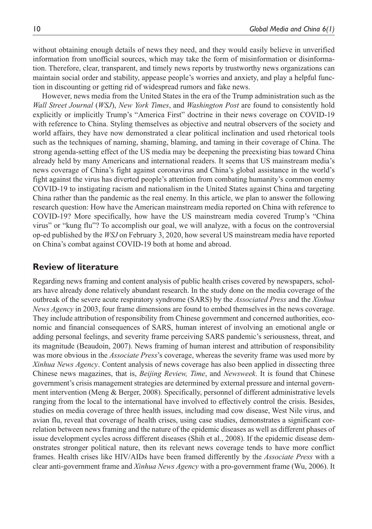without obtaining enough details of news they need, and they would easily believe in unverified information from unofficial sources, which may take the form of misinformation or disinformation. Therefore, clear, transparent, and timely news reports by trustworthy news organizations can maintain social order and stability, appease people's worries and anxiety, and play a helpful function in discounting or getting rid of widespread rumors and fake news.

However, news media from the United States in the era of the Trump administration such as the *Wall Street Journal* (*WSJ*), *New York Times*, and *Washington Post* are found to consistently hold explicitly or implicitly Trump's "America First" doctrine in their news coverage on COVID-19 with reference to China. Styling themselves as objective and neutral observers of the society and world affairs, they have now demonstrated a clear political inclination and used rhetorical tools such as the techniques of naming, shaming, blaming, and taming in their coverage of China. The strong agenda-setting effect of the US media may be deepening the preexisting bias toward China already held by many Americans and international readers. It seems that US mainstream media's news coverage of China's fight against coronavirus and China's global assistance in the world's fight against the virus has diverted people's attention from combating humanity's common enemy COVID-19 to instigating racism and nationalism in the United States against China and targeting China rather than the pandemic as the real enemy. In this article, we plan to answer the following research question: How have the American mainstream media reported on China with reference to COVID-19? More specifically, how have the US mainstream media covered Trump's "China virus" or "kung flu"? To accomplish our goal, we will analyze, with a focus on the controversial op-ed published by the *WSJ* on February 3, 2020, how several US mainstream media have reported on China's combat against COVID-19 both at home and abroad.

#### **Review of literature**

Regarding news framing and content analysis of public health crises covered by newspapers, scholars have already done relatively abundant research. In the study done on the media coverage of the outbreak of the severe acute respiratory syndrome (SARS) by the *Associated Press* and the *Xinhua News Agency* in 2003, four frame dimensions are found to embed themselves in the news coverage. They include attribution of responsibility from Chinese government and concerned authorities, economic and financial consequences of SARS, human interest of involving an emotional angle or adding personal feelings, and severity frame perceiving SARS pandemic's seriousness, threat, and its magnitude (Beaudoin, 2007). News framing of human interest and attribution of responsibility was more obvious in the *Associate Press*'s coverage, whereas the severity frame was used more by *Xinhua News Agency*. Content analysis of news coverage has also been applied in dissecting three Chinese news magazines, that is, *Beijing Review, Time*, and *Newsweek*. It is found that Chinese government's crisis management strategies are determined by external pressure and internal government intervention (Meng & Berger, 2008). Specifically, personnel of different administrative levels ranging from the local to the international have involved to effectively control the crisis. Besides, studies on media coverage of three health issues, including mad cow disease, West Nile virus, and avian flu, reveal that coverage of health crises, using case studies, demonstrates a significant correlation between news framing and the nature of the epidemic diseases as well as different phases of issue development cycles across different diseases (Shih et al., 2008). If the epidemic disease demonstrates stronger political nature, then its relevant news coverage tends to have more conflict frames. Health crises like HIV/AIDs have been framed differently by the *Associate Press* with a clear anti-government frame and *Xinhua News Agency* with a pro-government frame (Wu, 2006). It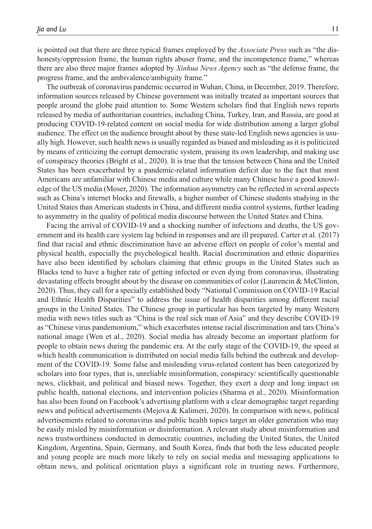is pointed out that there are three typical frames employed by the *Associate Press* such as "the dishonesty/oppression frame, the human rights abuser frame, and the incompetence frame," whereas there are also three major frames adopted by *Xinhua News Agency* such as "the defense frame, the progress frame, and the ambivalence/ambiguity frame."

The outbreak of coronavirus pandemic occurred in Wuhan, China, in December, 2019. Therefore, information sources released by Chinese government was initially treated as important sources that people around the globe paid attention to. Some Western scholars find that English news reports released by media of authoritarian countries, including China, Turkey, Iran, and Russia, are good at producing COVID-19-related content on social media for wide distribution among a larger global audience. The effect on the audience brought about by these state-led English news agencies is usually high. However, such health news is usually regarded as biased and misleading as it is politicized by means of criticizing the corrupt democratic system, praising its own leadership, and making use of conspiracy theories (Bright et al., 2020). It is true that the tension between China and the United States has been exacerbated by a pandemic-related information deficit due to the fact that most Americans are unfamiliar with Chinese media and culture while many Chinese have a good knowledge of the US media (Moser, 2020). The information asymmetry can be reflected in several aspects such as China's internet blocks and firewalls, a higher number of Chinese students studying in the United States than American students in China, and different media control systems, further leading to asymmetry in the quality of political media discourse between the United States and China.

Facing the arrival of COVID-19 and a shocking number of infections and deaths, the US government and its health care system lag behind in responses and are ill prepared. Carter et al. (2017) find that racial and ethnic discrimination have an adverse effect on people of color's mental and physical health, especially the psychological health. Racial discrimination and ethnic disparities have also been identified by scholars claiming that ethnic groups in the United States such as Blacks tend to have a higher rate of getting infected or even dying from coronavirus, illustrating devastating effects brought about by the disease on communities of color (Laurencin & McClinton, 2020). Thus, they call for a specially established body "National Commission on COVID-19 Racial and Ethnic Health Disparities" to address the issue of health disparities among different racial groups in the United States. The Chinese group in particular has been targeted by many Western media with news titles such as "China is the real sick man of Asia" and they describe COVID-19 as "Chinese virus pandemonium," which exacerbates intense racial discrimination and tars China's national image (Wen et al., 2020). Social media has already become an important platform for people to obtain news during the pandemic era. At the early stage of the COVID-19, the speed at which health communication is distributed on social media falls behind the outbreak and development of the COVID-19. Some false and misleading virus-related content has been categorized by scholars into four types, that is, unreliable misinformation, conspiracy/ scientifically questionable news, clickbait, and political and biased news. Together, they exert a deep and long impact on public health, national elections, and intervention policies (Sharma et al., 2020). Misinformation has also been found on Facebook's advertising platform with a clear demographic target regarding news and political advertisements (Mejova & Kalimeri, 2020). In comparison with news, political advertisements related to coronavirus and public health topics target an older generation who may be easily misled by misinformation or disinformation. A relevant study about misinformation and news trustworthiness conducted in democratic countries, including the United States, the United Kingdom, Argentina, Spain, Germany, and South Korea, finds that both the less educated people and young people are much more likely to rely on social media and messaging applications to obtain news, and political orientation plays a significant role in trusting news. Furthermore,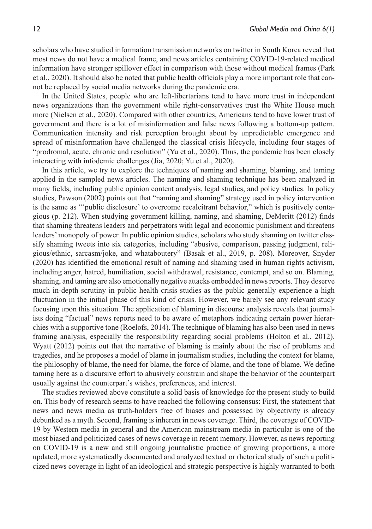scholars who have studied information transmission networks on twitter in South Korea reveal that most news do not have a medical frame, and news articles containing COVID-19-related medical information have stronger spillover effect in comparison with those without medical frames (Park et al., 2020). It should also be noted that public health officials play a more important role that cannot be replaced by social media networks during the pandemic era.

In the United States, people who are left-libertarians tend to have more trust in independent news organizations than the government while right-conservatives trust the White House much more (Nielsen et al., 2020). Compared with other countries, Americans tend to have lower trust of government and there is a lot of misinformation and false news following a bottom-up pattern. Communication intensity and risk perception brought about by unpredictable emergence and spread of misinformation have challenged the classical crisis lifecycle, including four stages of "prodromal, acute, chronic and resolution" (Yu et al., 2020). Thus, the pandemic has been closely interacting with infodemic challenges (Jia, 2020; Yu et al., 2020).

In this article, we try to explore the techniques of naming and shaming, blaming, and taming applied in the sampled news articles. The naming and shaming technique has been analyzed in many fields, including public opinion content analysis, legal studies, and policy studies. In policy studies, Pawson (2002) points out that "naming and shaming" strategy used in policy intervention is the same as "'public disclosure' to overcome recalcitrant behavior," which is positively contagious (p. 212). When studying government killing, naming, and shaming, DeMeritt (2012) finds that shaming threatens leaders and perpetrators with legal and economic punishment and threatens leaders' monopoly of power. In public opinion studies, scholars who study shaming on twitter classify shaming tweets into six categories, including "abusive, comparison, passing judgment, religious/ethnic, sarcasm/joke, and whataboutery" (Basak et al., 2019, p. 208). Moreover, Snyder (2020) has identified the emotional result of naming and shaming used in human rights activism, including anger, hatred, humiliation, social withdrawal, resistance, contempt, and so on. Blaming, shaming, and taming are also emotionally negative attacks embedded in news reports. They deserve much in-depth scrutiny in public health crisis studies as the public generally experience a high fluctuation in the initial phase of this kind of crisis. However, we barely see any relevant study focusing upon this situation. The application of blaming in discourse analysis reveals that journalists doing "factual" news reports need to be aware of metaphors indicating certain power hierarchies with a supportive tone (Roelofs, 2014). The technique of blaming has also been used in news framing analysis, especially the responsibility regarding social problems (Holton et al., 2012). Wyatt (2012) points out that the narrative of blaming is mainly about the rise of problems and tragedies, and he proposes a model of blame in journalism studies, including the context for blame, the philosophy of blame, the need for blame, the force of blame, and the tone of blame. We define taming here as a discursive effort to abusively constrain and shape the behavior of the counterpart usually against the counterpart's wishes, preferences, and interest.

The studies reviewed above constitute a solid basis of knowledge for the present study to build on. This body of research seems to have reached the following consensus: First, the statement that news and news media as truth-holders free of biases and possessed by objectivity is already debunked as a myth. Second, framing is inherent in news coverage. Third, the coverage of COVID-19 by Western media in general and the American mainstream media in particular is one of the most biased and politicized cases of news coverage in recent memory. However, as news reporting on COVID-19 is a new and still ongoing journalistic practice of growing proportions, a more updated, more systematically documented and analyzed textual or rhetorical study of such a politicized news coverage in light of an ideological and strategic perspective is highly warranted to both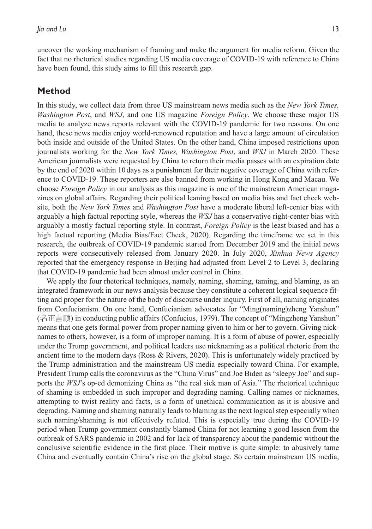uncover the working mechanism of framing and make the argument for media reform. Given the fact that no rhetorical studies regarding US media coverage of COVID-19 with reference to China have been found, this study aims to fill this research gap.

## **Method**

In this study, we collect data from three US mainstream news media such as the *New York Times, Washington Post*, and *WSJ*, and one US magazine *Foreign Policy*. We choose these major US media to analyze news reports relevant with the COVID-19 pandemic for two reasons. On one hand, these news media enjoy world-renowned reputation and have a large amount of circulation both inside and outside of the United States. On the other hand, China imposed restrictions upon journalists working for the *New York Times, Washington Post*, and *WSJ* in March 2020. These American journalists were requested by China to return their media passes with an expiration date by the end of 2020 within 10 days as a punishment for their negative coverage of China with reference to COVID-19. These reporters are also banned from working in Hong Kong and Macau. We choose *Foreign Policy* in our analysis as this magazine is one of the mainstream American magazines on global affairs. Regarding their political leaning based on media bias and fact check website, both the *New York Times* and *Washington Post* have a moderate liberal left-center bias with arguably a high factual reporting style, whereas the *WSJ* has a conservative right-center bias with arguably a mostly factual reporting style. In contrast, *Foreign Policy* is the least biased and has a high factual reporting (Media Bias/Fact Check, 2020). Regarding the timeframe we set in this research, the outbreak of COVID-19 pandemic started from December 2019 and the initial news reports were consecutively released from January 2020. In July 2020, *Xinhua News Agency* reported that the emergency response in Beijing had adjusted from Level 2 to Level 3, declaring that COVID-19 pandemic had been almost under control in China.

We apply the four rhetorical techniques, namely, naming, shaming, taming, and blaming, as an integrated framework in our news analysis because they constitute a coherent logical sequence fitting and proper for the nature of the body of discourse under inquiry. First of all, naming originates from Confucianism. On one hand, Confucianism advocates for "Ming(naming)zheng Yanshun" (名正言顺) in conducting public affairs (Confucius, 1979). The concept of "Mingzheng Yanshun" means that one gets formal power from proper naming given to him or her to govern. Giving nicknames to others, however, is a form of improper naming. It is a form of abuse of power, especially under the Trump government, and political leaders use nicknaming as a political rhetoric from the ancient time to the modern days (Ross & Rivers, 2020). This is unfortunately widely practiced by the Trump administration and the mainstream US media especially toward China. For example, President Trump calls the coronavirus as the "China Virus" and Joe Biden as "sleepy Joe" and supports the *WSJ*'s op-ed demonizing China as "the real sick man of Asia." The rhetorical technique of shaming is embedded in such improper and degrading naming. Calling names or nicknames, attempting to twist reality and facts, is a form of unethical communication as it is abusive and degrading. Naming and shaming naturally leads to blaming as the next logical step especially when such naming/shaming is not effectively refuted. This is especially true during the COVID-19 period when Trump government constantly blamed China for not learning a good lesson from the outbreak of SARS pandemic in 2002 and for lack of transparency about the pandemic without the conclusive scientific evidence in the first place. Their motive is quite simple: to abusively tame China and eventually contain China's rise on the global stage. So certain mainstream US media,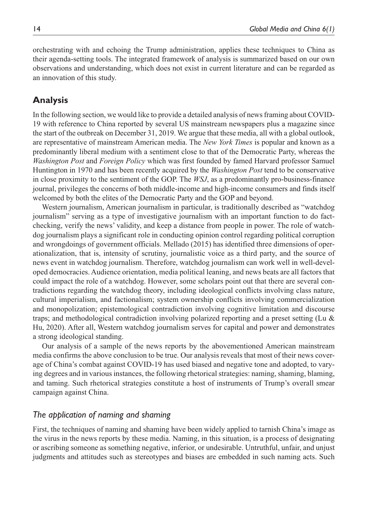orchestrating with and echoing the Trump administration, applies these techniques to China as their agenda-setting tools. The integrated framework of analysis is summarized based on our own observations and understanding, which does not exist in current literature and can be regarded as an innovation of this study.

## **Analysis**

In the following section, we would like to provide a detailed analysis of news framing about COVID-19 with reference to China reported by several US mainstream newspapers plus a magazine since the start of the outbreak on December 31, 2019. We argue that these media, all with a global outlook, are representative of mainstream American media. The *New York Times* is popular and known as a predominantly liberal medium with a sentiment close to that of the Democratic Party, whereas the *Washington Post* and *Foreign Policy* which was first founded by famed Harvard professor Samuel Huntington in 1970 and has been recently acquired by the *Washington Post* tend to be conservative in close proximity to the sentiment of the GOP. The *WSJ*, as a predominantly pro-business-finance journal, privileges the concerns of both middle-income and high-income consumers and finds itself welcomed by both the elites of the Democratic Party and the GOP and beyond.

Western journalism, American journalism in particular, is traditionally described as "watchdog journalism" serving as a type of investigative journalism with an important function to do factchecking, verify the news' validity, and keep a distance from people in power. The role of watchdog journalism plays a significant role in conducting opinion control regarding political corruption and wrongdoings of government officials. Mellado (2015) has identified three dimensions of operationalization, that is, intensity of scrutiny, journalistic voice as a third party, and the source of news event in watchdog journalism. Therefore, watchdog journalism can work well in well-developed democracies. Audience orientation, media political leaning, and news beats are all factors that could impact the role of a watchdog. However, some scholars point out that there are several contradictions regarding the watchdog theory, including ideological conflicts involving class nature, cultural imperialism, and factionalism; system ownership conflicts involving commercialization and monopolization; epistemological contradiction involving cognitive limitation and discourse traps; and methodological contradiction involving polarized reporting and a preset setting (Lu & Hu, 2020). After all, Western watchdog journalism serves for capital and power and demonstrates a strong ideological standing.

Our analysis of a sample of the news reports by the abovementioned American mainstream media confirms the above conclusion to be true. Our analysis reveals that most of their news coverage of China's combat against COVID-19 has used biased and negative tone and adopted, to varying degrees and in various instances, the following rhetorical strategies: naming, shaming, blaming, and taming. Such rhetorical strategies constitute a host of instruments of Trump's overall smear campaign against China.

#### *The application of naming and shaming*

First, the techniques of naming and shaming have been widely applied to tarnish China's image as the virus in the news reports by these media. Naming, in this situation, is a process of designating or ascribing someone as something negative, inferior, or undesirable. Untruthful, unfair, and unjust judgments and attitudes such as stereotypes and biases are embedded in such naming acts. Such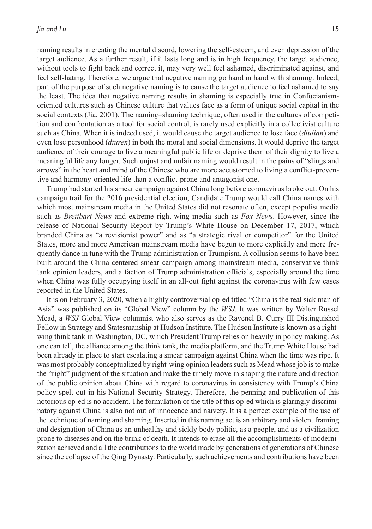naming results in creating the mental discord, lowering the self-esteem, and even depression of the target audience. As a further result, if it lasts long and is in high frequency, the target audience, without tools to fight back and correct it, may very well feel ashamed, discriminated against, and feel self-hating. Therefore, we argue that negative naming go hand in hand with shaming. Indeed, part of the purpose of such negative naming is to cause the target audience to feel ashamed to say the least. The idea that negative naming results in shaming is especially true in Confucianismoriented cultures such as Chinese culture that values face as a form of unique social capital in the social contexts (Jia, 2001). The naming–shaming technique, often used in the cultures of competition and confrontation as a tool for social control, is rarely used explicitly in a collectivist culture such as China. When it is indeed used, it would cause the target audience to lose face (*diulian*) and even lose personhood (*diuren*) in both the moral and social dimensions. It would deprive the target audience of their courage to live a meaningful public life or deprive them of their dignity to live a meaningful life any longer. Such unjust and unfair naming would result in the pains of "slings and arrows" in the heart and mind of the Chinese who are more accustomed to living a conflict-preventive and harmony-oriented life than a conflict-prone and antagonist one.

Trump had started his smear campaign against China long before coronavirus broke out. On his campaign trail for the 2016 presidential election, Candidate Trump would call China names with which most mainstream media in the United States did not resonate often, except populist media such as *Breitbart News* and extreme right-wing media such as *Fox News*. However, since the release of National Security Report by Trump's White House on December 17, 2017, which branded China as "a revisionist power" and as "a strategic rival or competitor" for the United States, more and more American mainstream media have begun to more explicitly and more frequently dance in tune with the Trump administration or Trumpism. A collusion seems to have been built around the China-centered smear campaign among mainstream media, conservative think tank opinion leaders, and a faction of Trump administration officials, especially around the time when China was fully occupying itself in an all-out fight against the coronavirus with few cases reported in the United States.

It is on February 3, 2020, when a highly controversial op-ed titled "China is the real sick man of Asia" was published on its "Global View" column by the *WSJ*. It was written by Walter Russel Mead, a *WSJ* Global View columnist who also serves as the Ravenel B. Curry III Distinguished Fellow in Strategy and Statesmanship at Hudson Institute. The Hudson Institute is known as a rightwing think tank in Washington, DC, which President Trump relies on heavily in policy making. As one can tell, the alliance among the think tank, the media platform, and the Trump White House had been already in place to start escalating a smear campaign against China when the time was ripe. It was most probably conceptualized by right-wing opinion leaders such as Mead whose job is to make the "right" judgment of the situation and make the timely move in shaping the nature and direction of the public opinion about China with regard to coronavirus in consistency with Trump's China policy spelt out in his National Security Strategy. Therefore, the penning and publication of this notorious op-ed is no accident. The formulation of the title of this op-ed which is glaringly discriminatory against China is also not out of innocence and naivety. It is a perfect example of the use of the technique of naming and shaming. Inserted in this naming act is an arbitrary and violent framing and designation of China as an unhealthy and sickly body politic, as a people, and as a civilization prone to diseases and on the brink of death. It intends to erase all the accomplishments of modernization achieved and all the contributions to the world made by generations of generations of Chinese since the collapse of the Qing Dynasty. Particularly, such achievements and contributions have been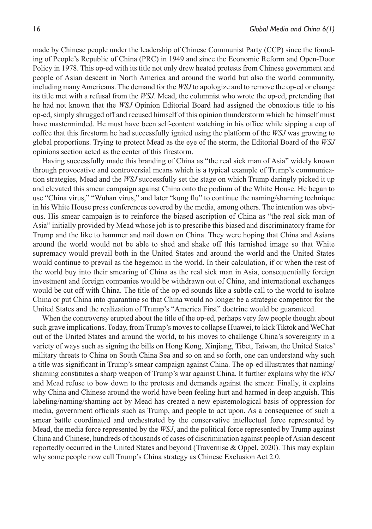made by Chinese people under the leadership of Chinese Communist Party (CCP) since the founding of People's Republic of China (PRC) in 1949 and since the Economic Reform and Open-Door Policy in 1978. This op-ed with its title not only drew heated protests from Chinese government and people of Asian descent in North America and around the world but also the world community, including many Americans. The demand for the *WSJ* to apologize and to remove the op-ed or change its title met with a refusal from the *WSJ*. Mead, the columnist who wrote the op-ed, pretending that he had not known that the *WSJ* Opinion Editorial Board had assigned the obnoxious title to his op-ed, simply shrugged off and recused himself of this opinion thunderstorm which he himself must have masterminded. He must have been self-content watching in his office while sipping a cup of coffee that this firestorm he had successfully ignited using the platform of the *WSJ* was growing to global proportions. Trying to protect Mead as the eye of the storm, the Editorial Board of the *WSJ* opinions section acted as the center of this firestorm.

Having successfully made this branding of China as "the real sick man of Asia" widely known through provocative and controversial means which is a typical example of Trump's communication strategies, Mead and the *WSJ* successfully set the stage on which Trump daringly picked it up and elevated this smear campaign against China onto the podium of the White House. He began to use "China virus," "Wuhan virus," and later "kung flu" to continue the naming/shaming technique in his White House press conferences covered by the media, among others. The intention was obvious. His smear campaign is to reinforce the biased ascription of China as "the real sick man of Asia" initially provided by Mead whose job is to prescribe this biased and discriminatory frame for Trump and the like to hammer and nail down on China. They were hoping that China and Asians around the world would not be able to shed and shake off this tarnished image so that White supremacy would prevail both in the United States and around the world and the United States would continue to prevail as the hegemon in the world. In their calculation, if or when the rest of the world buy into their smearing of China as the real sick man in Asia, consequentially foreign investment and foreign companies would be withdrawn out of China, and international exchanges would be cut off with China. The title of the op-ed sounds like a subtle call to the world to isolate China or put China into quarantine so that China would no longer be a strategic competitor for the United States and the realization of Trump's "America First" doctrine would be guaranteed.

When the controversy erupted about the title of the op-ed, perhaps very few people thought about such grave implications. Today, from Trump's moves to collapse Huawei, to kick Tiktok and WeChat out of the United States and around the world, to his moves to challenge China's sovereignty in a variety of ways such as signing the bills on Hong Kong, Xinjiang, Tibet, Taiwan, the United States' military threats to China on South China Sea and so on and so forth, one can understand why such a title was significant in Trump's smear campaign against China. The op-ed illustrates that naming/ shaming constitutes a sharp weapon of Trump's war against China. It further explains why the *WSJ* and Mead refuse to bow down to the protests and demands against the smear. Finally, it explains why China and Chinese around the world have been feeling hurt and harmed in deep anguish. This labeling/naming/shaming act by Mead has created a new epistemological basis of oppression for media, government officials such as Trump, and people to act upon. As a consequence of such a smear battle coordinated and orchestrated by the conservative intellectual force represented by Mead, the media force represented by the *WSJ*, and the political force represented by Trump against China and Chinese, hundreds of thousands of cases of discrimination against people of Asian descent reportedly occurred in the United States and beyond (Travernise & Oppel, 2020). This may explain why some people now call Trump's China strategy as Chinese Exclusion Act 2.0.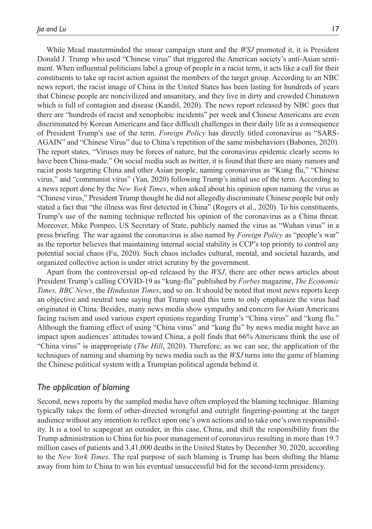While Mead masterminded the smear campaign stunt and the *WSJ* promoted it, it is President Donald J. Trump who used "Chinese virus" that triggered the American society's anti-Asian sentiment. When influential politicians label a group of people in a racist term, it acts like a call for their constituents to take up racist action against the members of the target group. According to an NBC news report, the racist image of China in the United States has been lasting for hundreds of years that Chinese people are noncivilized and unsanitary, and they live in dirty and crowded Chinatown which is full of contagion and disease (Kandil, 2020). The news report released by NBC goes that there are "hundreds of racist and xenophobic incidents" per week and Chinese Americans are even discriminated by Korean Americans and face difficult challenges in their daily life as a consequence of President Trump's use of the term. *Foreign Policy* has directly titled coronavirus as "SARS-AGAIN" and "Chinese Virus" due to China's repetition of the same misbehaviors (Babones, 2020). The report states, "Viruses may be forces of nature, but the coronavirus epidemic clearly seems to have been China-made." On social media such as twitter, it is found that there are many rumors and racist posts targeting China and other Asian people, naming coronavirus as "Kung flu," "Chinese virus," and "communist virus" (Yan, 2020) following Trump's initial use of the term. According to a news report done by the *New York Times*, when asked about his opinion upon naming the virus as "Chinese virus," President Trump thought he did not allegedly discriminate Chinese people but only stated a fact that "the illness was first detected in China" (Rogers et al., 2020). To his constituents, Trump's use of the naming technique reflected his opinion of the coronavirus as a China threat. Moreover, Mike Pompeo, US Secretary of State, publicly named the virus as "Wuhan virus" in a press briefing. The war against the coronavirus is also named by *Foreign Policy* as "people's war" as the reporter believes that maintaining internal social stability is CCP's top priority to control any potential social chaos (Fu, 2020). Such chaos includes cultural, mental, and societal hazards, and organized collective action is under strict scrutiny by the government.

Apart from the controversial op-ed released by the *WSJ*, there are other news articles about President Trump's calling COVID-19 as "kung-flu" published by *Forbes* magazine, *The Economic Times, BBC News*, the *Hindustan Times*, and so on. It should be noted that most news reports keep an objective and neutral tone saying that Trump used this term to only emphasize the virus had originated in China. Besides, many news media show sympathy and concern for Asian Americans facing racism and used various expert opinions regarding Trump's "China virus" and "kung flu." Although the framing effect of using "China virus" and "kung flu" by news media might have an impact upon audiences' attitudes toward China, a poll finds that 66% Americans think the use of "China virus" is inappropriate (*The Hill*, 2020). Therefore, as we can see, the application of the techniques of naming and shaming by news media such as the *WSJ* turns into the game of blaming the Chinese political system with a Trumpian political agenda behind it.

#### *The application of blaming*

Second, news reports by the sampled media have often employed the blaming technique. Blaming typically takes the form of other-directed wrongful and outright fingering-pointing at the target audience without any intention to reflect upon one's own actions and to take one's own responsibility. It is a tool to scapegoat an outsider, in this case, China, and shift the responsibility from the Trump administration to China for his poor management of coronavirus resulting in more than 19.7 million cases of patients and 3,41,000 deaths in the United States by December 30, 2020, according to the *New York Times*. The real purpose of such blaming is Trump has been shifting the blame away from him to China to win his eventual unsuccessful bid for the second-term presidency.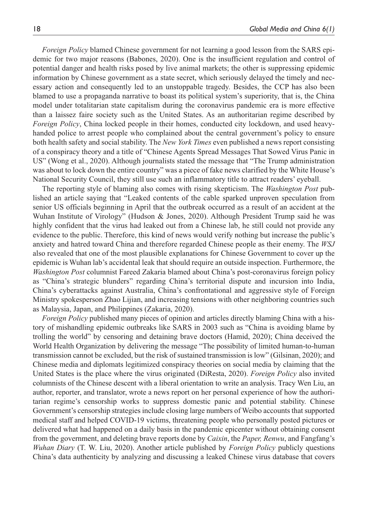*Foreign Policy* blamed Chinese government for not learning a good lesson from the SARS epidemic for two major reasons (Babones, 2020). One is the insufficient regulation and control of potential danger and health risks posed by live animal markets; the other is suppressing epidemic information by Chinese government as a state secret, which seriously delayed the timely and necessary action and consequently led to an unstoppable tragedy. Besides, the CCP has also been blamed to use a propaganda narrative to boast its political system's superiority, that is, the China model under totalitarian state capitalism during the coronavirus pandemic era is more effective than a laissez faire society such as the United States. As an authoritarian regime described by *Foreign Policy*, China locked people in their homes, conducted city lockdown, and used heavyhanded police to arrest people who complained about the central government's policy to ensure both health safety and social stability. The *New York Times* even published a news report consisting of a conspiracy theory and a title of "Chinese Agents Spread Messages That Sowed Virus Panic in US" (Wong et al., 2020). Although journalists stated the message that "The Trump administration was about to lock down the entire country" was a piece of fake news clarified by the White House's National Security Council, they still use such an inflammatory title to attract readers' eyeball.

The reporting style of blaming also comes with rising skepticism. The *Washington Post* published an article saying that "Leaked contents of the cable sparked unproven speculation from senior US officials beginning in April that the outbreak occurred as a result of an accident at the Wuhan Institute of Virology" (Hudson & Jones, 2020). Although President Trump said he was highly confident that the virus had leaked out from a Chinese lab, he still could not provide any evidence to the public. Therefore, this kind of news would verify nothing but increase the public's anxiety and hatred toward China and therefore regarded Chinese people as their enemy. The *WSJ* also revealed that one of the most plausible explanations for Chinese Government to cover up the epidemic is Wuhan lab's accidental leak that should require an outside inspection. Furthermore, the *Washington Post* columnist Fareed Zakaria blamed about China's post-coronavirus foreign policy as "China's strategic blunders" regarding China's territorial dispute and incursion into India, China's cyberattacks against Australia, China's confrontational and aggressive style of Foreign Ministry spokesperson Zhao Lijian, and increasing tensions with other neighboring countries such as Malaysia, Japan, and Philippines (Zakaria, 2020).

*Foreign Policy* published many pieces of opinion and articles directly blaming China with a history of mishandling epidemic outbreaks like SARS in 2003 such as "China is avoiding blame by trolling the world" by censoring and detaining brave doctors (Hamid, 2020); China deceived the World Health Organization by delivering the message "The possibility of limited human-to-human transmission cannot be excluded, but the risk of sustained transmission is low" (Gilsinan, 2020); and Chinese media and diplomats legitimized conspiracy theories on social media by claiming that the United States is the place where the virus originated (DiResta, 2020). *Foreign Policy* also invited columnists of the Chinese descent with a liberal orientation to write an analysis. Tracy Wen Liu, an author, reporter, and translator, wrote a news report on her personal experience of how the authoritarian regime's censorship works to suppress domestic panic and potential stability. Chinese Government's censorship strategies include closing large numbers of Weibo accounts that supported medical staff and helped COVID-19 victims, threatening people who personally posted pictures or delivered what had happened on a daily basis in the pandemic epicenter without obtaining consent from the government, and deleting brave reports done by *Caixin*, the *Paper, Renwu*, and Fangfang's *Wuhan Diary* (T. W. Liu, 2020). Another article published by *Foreign Policy* publicly questions China's data authenticity by analyzing and discussing a leaked Chinese virus database that covers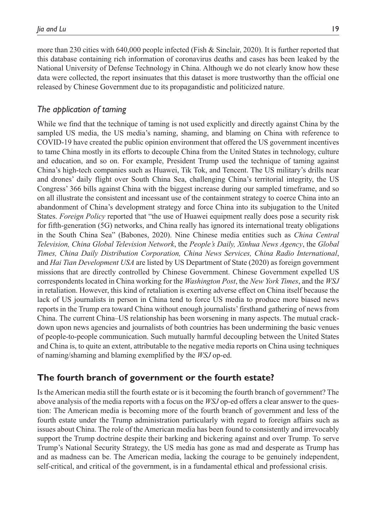more than 230 cities with 640,000 people infected (Fish & Sinclair, 2020). It is further reported that this database containing rich information of coronavirus deaths and cases has been leaked by the National University of Defense Technology in China. Although we do not clearly know how these data were collected, the report insinuates that this dataset is more trustworthy than the official one released by Chinese Government due to its propagandistic and politicized nature.

## *The application of taming*

While we find that the technique of taming is not used explicitly and directly against China by the sampled US media, the US media's naming, shaming, and blaming on China with reference to COVID-19 have created the public opinion environment that offered the US government incentives to tame China mostly in its efforts to decouple China from the United States in technology, culture and education, and so on. For example, President Trump used the technique of taming against China's high-tech companies such as Huawei, Tik Tok, and Tencent. The US military's drills near and drones' daily flight over South China Sea, challenging China's territorial integrity, the US Congress' 366 bills against China with the biggest increase during our sampled timeframe, and so on all illustrate the consistent and incessant use of the containment strategy to coerce China into an abandonment of China's development strategy and force China into its subjugation to the United States. *Foreign Policy* reported that "the use of Huawei equipment really does pose a security risk for fifth-generation (5G) networks, and China really has ignored its international treaty obligations in the South China Sea" (Babones, 2020). Nine Chinese media entities such as *China Central Television, China Global Television Network*, the *People's Daily, Xinhua News Agency*, the *Global Times, China Daily Distribution Corporation, China News Services, China Radio International*, and *Hai Tian Development USA* are listed by US Department of State (2020) as foreign government missions that are directly controlled by Chinese Government. Chinese Government expelled US correspondents located in China working for the *Washington Post*, the *New York Times*, and the *WSJ* in retaliation. However, this kind of retaliation is exerting adverse effect on China itself because the lack of US journalists in person in China tend to force US media to produce more biased news reports in the Trump era toward China without enough journalists' firsthand gathering of news from China. The current China–US relationship has been worsening in many aspects. The mutual crackdown upon news agencies and journalists of both countries has been undermining the basic venues of people-to-people communication. Such mutually harmful decoupling between the United States and China is, to quite an extent, attributable to the negative media reports on China using techniques of naming/shaming and blaming exemplified by the *WSJ* op-ed.

## **The fourth branch of government or the fourth estate?**

Is the American media still the fourth estate or is it becoming the fourth branch of government? The above analysis of the media reports with a focus on the *WSJ* op-ed offers a clear answer to the question: The American media is becoming more of the fourth branch of government and less of the fourth estate under the Trump administration particularly with regard to foreign affairs such as issues about China. The role of the American media has been found to consistently and irrevocably support the Trump doctrine despite their barking and bickering against and over Trump. To serve Trump's National Security Strategy, the US media has gone as mad and desperate as Trump has and as madness can be. The American media, lacking the courage to be genuinely independent, self-critical, and critical of the government, is in a fundamental ethical and professional crisis.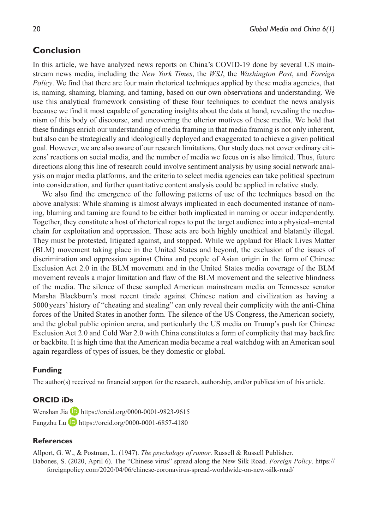## **Conclusion**

In this article, we have analyzed news reports on China's COVID-19 done by several US mainstream news media, including the *New York Times*, the *WSJ*, the *Washington Post*, and *Foreign Policy*. We find that there are four main rhetorical techniques applied by these media agencies, that is, naming, shaming, blaming, and taming, based on our own observations and understanding. We use this analytical framework consisting of these four techniques to conduct the news analysis because we find it most capable of generating insights about the data at hand, revealing the mechanism of this body of discourse, and uncovering the ulterior motives of these media. We hold that these findings enrich our understanding of media framing in that media framing is not only inherent, but also can be strategically and ideologically deployed and exaggerated to achieve a given political goal. However, we are also aware of our research limitations. Our study does not cover ordinary citizens' reactions on social media, and the number of media we focus on is also limited. Thus, future directions along this line of research could involve sentiment analysis by using social network analysis on major media platforms, and the criteria to select media agencies can take political spectrum into consideration, and further quantitative content analysis could be applied in relative study.

We also find the emergence of the following patterns of use of the techniques based on the above analysis: While shaming is almost always implicated in each documented instance of naming, blaming and taming are found to be either both implicated in naming or occur independently. Together, they constitute a host of rhetorical ropes to put the target audience into a physical–mental chain for exploitation and oppression. These acts are both highly unethical and blatantly illegal. They must be protested, litigated against, and stopped. While we applaud for Black Lives Matter (BLM) movement taking place in the United States and beyond, the exclusion of the issues of discrimination and oppression against China and people of Asian origin in the form of Chinese Exclusion Act 2.0 in the BLM movement and in the United States media coverage of the BLM movement reveals a major limitation and flaw of the BLM movement and the selective blindness of the media. The silence of these sampled American mainstream media on Tennessee senator Marsha Blackburn's most recent tirade against Chinese nation and civilization as having a 5000years' history of "cheating and stealing" can only reveal their complicity with the anti-China forces of the United States in another form. The silence of the US Congress, the American society, and the global public opinion arena, and particularly the US media on Trump's push for Chinese Exclusion Act 2.0 and Cold War 2.0 with China constitutes a form of complicity that may backfire or backbite. It is high time that the American media became a real watchdog with an American soul again regardless of types of issues, be they domestic or global.

#### **Funding**

The author(s) received no financial support for the research, authorship, and/or publication of this article.

#### **ORCID iDs**

Wenshan Jia **D** <https://orcid.org/0000-0001-9823-9615> Fangzhu Lu <https://orcid.org/0000-0001-6857-4180>

#### **References**

Allport, G. W., & Postman, L. (1947). *The psychology of rumor*. Russell & Russell Publisher. Babones, S. (2020, April 6). The "Chinese virus" spread along the New Silk Road. *Foreign Policy*. [https://](https://foreignpolicy.com/2020/04/06/chinese-coronavirus-spread-worldwide-on-new-silk-road/) [foreignpolicy.com/2020/04/06/chinese-coronavirus-spread-worldwide-on-new-silk-road/](https://foreignpolicy.com/2020/04/06/chinese-coronavirus-spread-worldwide-on-new-silk-road/)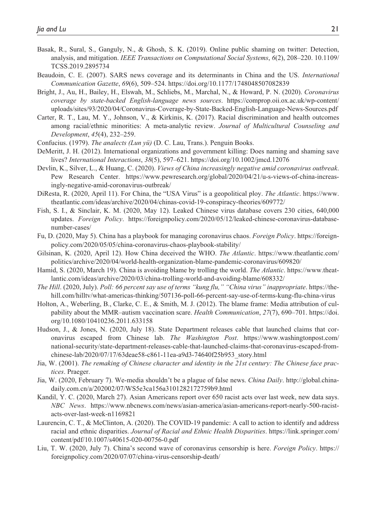- Basak, R., Sural, S., Ganguly, N., & Ghosh, S. K. (2019). Online public shaming on twitter: Detection, analysis, and mitigation. *IEEE Transactions on Computational Social Systems*, *6*(2), 208–220. 10.1109/ TCSS.2019.2895734
- Beaudoin, C. E. (2007). SARS news coverage and its determinants in China and the US. *International Communication Gazette*, *69*(6), 509–524. <https://doi.org/10.1177/1748048507082839>
- Bright, J., Au, H., Bailey, H., Elswah, M., Schliebs, M., Marchal, N., & Howard, P. N. (2020). *Coronavirus coverage by state-backed English-language news sources*. [https://comprop.oii.ox.ac.uk/wp-content/](https://comprop.oii.ox.ac.uk/wp-content/uploads/sites/93/2020/04/Coronavirus-Coverage-by-State-Backed-English-Language-News-Sources.pdf) [uploads/sites/93/2020/04/Coronavirus-Coverage-by-State-Backed-English-Language-News-Sources.pdf](https://comprop.oii.ox.ac.uk/wp-content/uploads/sites/93/2020/04/Coronavirus-Coverage-by-State-Backed-English-Language-News-Sources.pdf)
- Carter, R. T., Lau, M. Y., Johnson, V., & Kirkinis, K. (2017). Racial discrimination and health outcomes among racial/ethnic minorities: A meta-analytic review. *Journal of Multicultural Counseling and Development*, *45*(4), 232–259.
- Confucius. (1979). *The analects (Lun yü)* (D. C. Lau, Trans.). Penguin Books.
- DeMeritt, J. H. (2012). International organizations and government killing: Does naming and shaming save lives? *International Interactions*, *38*(5), 597–621.<https://doi.org/10.1002/jmcd.12076>
- Devlin, K., Silver, L., & Huang, C. (2020). *Views of China increasingly negative amid coronavirus outbreak*. Pew Research Center. [https://www.pewresearch.org/global/2020/04/21/u-s-views-of-china-increas](https://www.pewresearch.org/global/2020/04/21/u-s-views-of-china-increasingly-negative-amid-coronavirus-outbreak/)[ingly-negative-amid-coronavirus-outbreak/](https://www.pewresearch.org/global/2020/04/21/u-s-views-of-china-increasingly-negative-amid-coronavirus-outbreak/)
- DiResta, R. (2020, April 11). For China, the "USA Virus" is a geopolitical ploy. *The Atlantic*. [https://www.](https://www.theatlantic.com/ideas/archive/2020/04/chinas-covid-19-conspiracy-theories/609772/) [theatlantic.com/ideas/archive/2020/04/chinas-covid-19-conspiracy-theories/609772/](https://www.theatlantic.com/ideas/archive/2020/04/chinas-covid-19-conspiracy-theories/609772/)
- Fish, S. I., & Sinclair, K. M. (2020, May 12). Leaked Chinese virus database covers 230 cities, 640,000 updates. *Foreign Policy*. [https://foreignpolicy.com/2020/05/12/leaked-chinese-coronavirus-database](https://foreignpolicy.com/2020/05/12/leaked-chinese-coronavirus-database-number-cases/)[number-cases/](https://foreignpolicy.com/2020/05/12/leaked-chinese-coronavirus-database-number-cases/)
- Fu, D. (2020, May 5). China has a playbook for managing coronavirus chaos. *Foreign Policy*. [https://foreign](https://foreignpolicy.com/2020/05/05/china-coronavirus-chaos-playbook-stability/)[policy.com/2020/05/05/china-coronavirus-chaos-playbook-stability/](https://foreignpolicy.com/2020/05/05/china-coronavirus-chaos-playbook-stability/)
- Gilsinan, K. (2020, April 12). How China deceived the WHO. *The Atlantic*. [https://www.theatlantic.com/](https://www.theatlantic.com/politics/archive/2020/04/world-health-organization-blame-pandemic-coronavirus/609820/) [politics/archive/2020/04/world-health-organization-blame-pandemic-coronavirus/609820/](https://www.theatlantic.com/politics/archive/2020/04/world-health-organization-blame-pandemic-coronavirus/609820/)
- Hamid, S. (2020, March 19). China is avoiding blame by trolling the world. *The Atlantic*. [https://www.theat](https://www.theatlantic.com/ideas/archive/2020/03/china-trolling-world-and-avoiding-blame/608332/)[lantic.com/ideas/archive/2020/03/china-trolling-world-and-avoiding-blame/608332/](https://www.theatlantic.com/ideas/archive/2020/03/china-trolling-world-and-avoiding-blame/608332/)
- *The Hill*. (2020, July). *Poll: 66 percent say use of terms "kung flu," "China virus" inappropriate*. [https://the](https://thehill.com/hilltv/what-americas-thinking/507136-poll-66-percent-say-use-of-terms-kung-flu-china-virus)[hill.com/hilltv/what-americas-thinking/507136-poll-66-percent-say-use-of-terms-kung-flu-china-virus](https://thehill.com/hilltv/what-americas-thinking/507136-poll-66-percent-say-use-of-terms-kung-flu-china-virus)
- Holton, A., Weberling, B., Clarke, C. E., & Smith, M. J. (2012). The blame frame: Media attribution of culpability about the MMR–autism vaccination scare. *Health Communication*, *27*(7), 690–701. [https://doi.](https://doi.org/10.1080/10410236.2011.633158) [org/10.1080/10410236.2011.633158](https://doi.org/10.1080/10410236.2011.633158)
- Hudson, J., & Jones, N. (2020, July 18). State Department releases cable that launched claims that coronavirus escaped from Chinese lab. *The Washington Post*. [https://www.washingtonpost.com/](https://www.washingtonpost.com/national-security/state-department-releases-cable-that-launched-claims-that-coronavirus-escaped-from-chinese-lab/2020/07/17/63deae58-c861-11ea-a9d3-74640f25b953_story.html) [national-security/state-department-releases-cable-that-launched-claims-that-coronavirus-escaped-from](https://www.washingtonpost.com/national-security/state-department-releases-cable-that-launched-claims-that-coronavirus-escaped-from-chinese-lab/2020/07/17/63deae58-c861-11ea-a9d3-74640f25b953_story.html)[chinese-lab/2020/07/17/63deae58-c861-11ea-a9d3-74640f25b953\\_story.html](https://www.washingtonpost.com/national-security/state-department-releases-cable-that-launched-claims-that-coronavirus-escaped-from-chinese-lab/2020/07/17/63deae58-c861-11ea-a9d3-74640f25b953_story.html)
- Jia, W. (2001). *The remaking of Chinese character and identity in the 21st century: The Chinese face practices*. Praeger.
- Jia, W. (2020, February 7). We-media shouldn't be a plague of false news. *China Daily*. [http://global.china](http://global.chinadaily.com.cn/a/202002/07/WS5e3ca156a3101282172759b9.html)[daily.com.cn/a/202002/07/WS5e3ca156a3101282172759b9.html](http://global.chinadaily.com.cn/a/202002/07/WS5e3ca156a3101282172759b9.html)
- Kandil, Y. C. (2020, March 27). Asian Americans report over 650 racist acts over last week, new data says. *NBC News*. [https://www.nbcnews.com/news/asian-america/asian-americans-report-nearly-500-racist](https://www.nbcnews.com/news/asian-america/asian-americans-report-nearly-500-racist-acts-over-last-week-n1169821)[acts-over-last-week-n1169821](https://www.nbcnews.com/news/asian-america/asian-americans-report-nearly-500-racist-acts-over-last-week-n1169821)
- Laurencin, C. T., & McClinton, A. (2020). The COVID-19 pandemic: A call to action to identify and address racial and ethnic disparities. *Journal of Racial and Ethnic Health Disparities*. [https://link.springer.com/](https://link.springer.com/content/pdf/10.1007/s40615-020-00756-0.pdf) [content/pdf/10.1007/s40615-020-00756-0.pdf](https://link.springer.com/content/pdf/10.1007/s40615-020-00756-0.pdf)
- Liu, T. W. (2020, July 7). China's second wave of coronavirus censorship is here. *Foreign Policy*. [https://](https://foreignpolicy.com/2020/07/07/china-virus-censorship-death/) [foreignpolicy.com/2020/07/07/china-virus-censorship-death/](https://foreignpolicy.com/2020/07/07/china-virus-censorship-death/)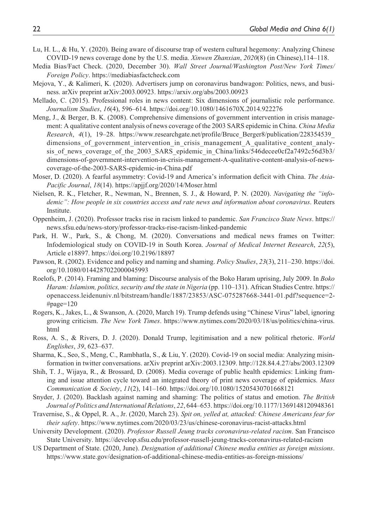- Lu, H. L., & Hu, Y. (2020). Being aware of discourse trap of western cultural hegemony: Analyzing Chinese COVID-19 news coverage done by the U.S. media. *Xinwen Zhanxian*, *2020*(8) (in Chinese),114–118.
- Media Bias/Fact Check. (2020, December 30). *Wall Street Journal/Washington Post/New York Times/ Foreign Policy*.<https://mediabiasfactcheck.com>
- Mejova, Y., & Kalimeri, K. (2020). Advertisers jump on coronavirus bandwagon: Politics, news, and business. arXiv preprint arXiv:2003.00923.<https://arxiv.org/abs/2003.00923>
- Mellado, C. (2015). Professional roles in news content: Six dimensions of journalistic role performance. *Journalism Studies*, *16*(4), 596–614. <https://doi.org/10.1080/1461670X.2014.922276>
- Meng, J., & Berger, B. K. (2008). Comprehensive dimensions of government intervention in crisis management: A qualitative content analysis of news coverage of the 2003 SARS epidemic in China. *China Media Research*, *4*(1), 19–28. [https://www.researchgate.net/profile/Bruce\\_Berger8/publication/228354539\\_](https://www.researchgate.net/profile/Bruce_Berger8/publication/228354539_dimensions_of_government_intervention_in_crisis_management_A_qualitative_content_analysis_of_news_coverage_of_the_2003_SARS_epidemic_in_China/links/546decee0cf2a7492c56d3b3/dimensions-of-government-intervention-in-crisis-management-A-qualitative-content-analysis-of-news-coverage-of-the-2003-SARS-epidemic-in-China.pdf) dimensions of government intervention in crisis management A qualitative content analysis of news coverage of the 2003 SARS epidemic in China/links/546decee0cf2a7492c56d3b3/ [dimensions-of-government-intervention-in-crisis-management-A-qualitative-content-analysis-of-news](https://www.researchgate.net/profile/Bruce_Berger8/publication/228354539_dimensions_of_government_intervention_in_crisis_management_A_qualitative_content_analysis_of_news_coverage_of_the_2003_SARS_epidemic_in_China/links/546decee0cf2a7492c56d3b3/dimensions-of-government-intervention-in-crisis-management-A-qualitative-content-analysis-of-news-coverage-of-the-2003-SARS-epidemic-in-China.pdf)[coverage-of-the-2003-SARS-epidemic-in-China.pdf](https://www.researchgate.net/profile/Bruce_Berger8/publication/228354539_dimensions_of_government_intervention_in_crisis_management_A_qualitative_content_analysis_of_news_coverage_of_the_2003_SARS_epidemic_in_China/links/546decee0cf2a7492c56d3b3/dimensions-of-government-intervention-in-crisis-management-A-qualitative-content-analysis-of-news-coverage-of-the-2003-SARS-epidemic-in-China.pdf)
- Moser, D. (2020). A fearful asymmetry: Covid-19 and America's information deficit with China. *The Asia-Pacific Journal*, *18*(14).<https://apjjf.org/2020/14/Moser.html>
- Nielsen, R. K., Fletcher, R., Newman, N., Brennen, S. J., & Howard, P. N. (2020). *Navigating the "infodemic": How people in six countries access and rate news and information about coronavirus*. Reuters Institute.
- Oppenheim, J. (2020). Professor tracks rise in racism linked to pandemic. *San Francisco State News*. [https://](https://news.sfsu.edu/news-story/professor-tracks-rise-racism-linked-pandemic) [news.sfsu.edu/news-story/professor-tracks-rise-racism-linked-pandemic](https://news.sfsu.edu/news-story/professor-tracks-rise-racism-linked-pandemic)
- Park, H. W., Park, S., & Chong, M. (2020). Conversations and medical news frames on Twitter: Infodemiological study on COVID-19 in South Korea. *Journal of Medical Internet Research*, *22*(5), Article e18897. <https://doi.org/10.2196/18897>
- Pawson, R. (2002). Evidence and policy and naming and shaming. *Policy Studies*, *23*(3), 211–230. [https://doi.](https://doi.org/10.1080/0144287022000045993) [org/10.1080/0144287022000045993](https://doi.org/10.1080/0144287022000045993)
- Roelofs, P. (2014). Framing and blaming: Discourse analysis of the Boko Haram uprising, July 2009. In *Boko Haram: Islamism, politics, security and the state in Nigeria* (pp. 110–131). African Studies Centre. [https://](https://openaccess.leidenuniv.nl/bitstream/handle/1887/23853/ASC-075287668-3441-01.pdf?sequence=2-#page=120) [openaccess.leidenuniv.nl/bitstream/handle/1887/23853/ASC-075287668-3441-01.pdf?sequence=2-](https://openaccess.leidenuniv.nl/bitstream/handle/1887/23853/ASC-075287668-3441-01.pdf?sequence=2-#page=120) [#page=120](https://openaccess.leidenuniv.nl/bitstream/handle/1887/23853/ASC-075287668-3441-01.pdf?sequence=2-#page=120)
- Rogers, K., Jakes, L., & Swanson, A. (2020, March 19). Trump defends using "Chinese Virus" label, ignoring growing criticism. *The New York Times*. [https://www.nytimes.com/2020/03/18/us/politics/china-virus.](https://www.nytimes.com/2020/03/18/us/politics/china-virus.html) [html](https://www.nytimes.com/2020/03/18/us/politics/china-virus.html)
- Ross, A. S., & Rivers, D. J. (2020). Donald Trump, legitimisation and a new political rhetoric. *World Englishes*, *39*, 623–637.
- Sharma, K., Seo, S., Meng, C., Rambhatla, S., & Liu, Y. (2020). Covid-19 on social media: Analyzing misinformation in twitter conversations. arXiv preprint arXiv:2003.12309. <http://128.84.4.27/abs/2003.12309>
- Shih, T. J., Wijaya, R., & Brossard, D. (2008). Media coverage of public health epidemics: Linking framing and issue attention cycle toward an integrated theory of print news coverage of epidemics. *Mass Communication & Society*, *11*(2), 141–160.<https://doi.org/10.1080/15205430701668121>
- Snyder, J. (2020). Backlash against naming and shaming: The politics of status and emotion. *The British Journal of Politics and International Relations*, *22*, 644–653.<https://doi.org/10.1177/1369148120948361>
- Travernise, S., & Oppel, R. A., Jr. (2020, March 23). *Spit on, yelled at, attacked: Chinese Americans fear for their safety*.<https://www.nytimes.com/2020/03/23/us/chinese-coronavirus-racist-attacks.html>
- University Development. (2020). *Professor Russell Jeung tracks coronavirus-related racism*. San Francisco State University.<https://develop.sfsu.edu/professor-russell-jeung-tracks-coronavirus-related-racism>
- US Department of State. (2020, June). *Designation of additional Chinese media entities as foreign missions*. <https://www.state.gov/designation-of-additional-chinese-media-entities-as-foreign-missions/>